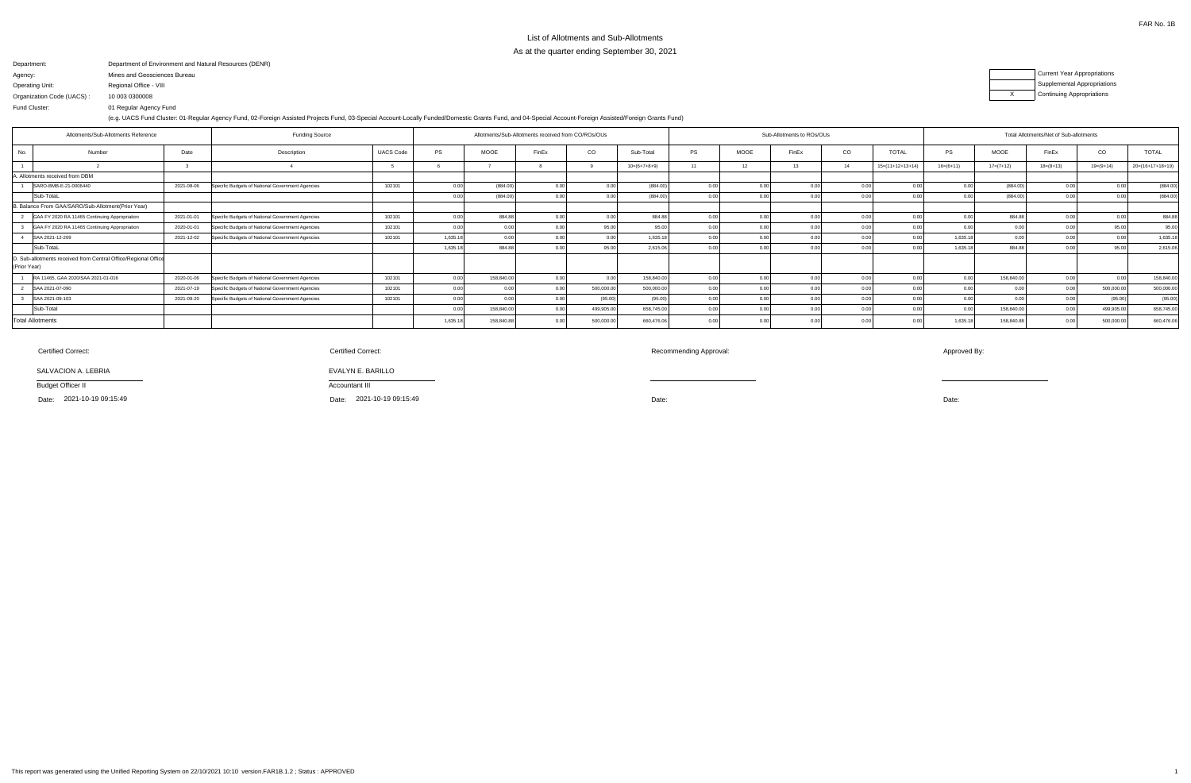Department: Agency: Operating Unit:Organization Code (UACS) :Fund Cluster:Department of Environment and Natural Resources (DENR) Mines and Geosciences BureauRegional Office - VIII10 003 030000801 Regular Agency Fund(e.g. UACS Fund Cluster: 01-Regular Agency Fund, 02-Foreign Assisted Projects Fund, 03-Special Account-Locally Funded/Domestic Grants Fund, and 04-Special Account-Foreign Assisted/Foreign Grants Fund)



| Allotments/Sub-Allotments Reference                            |            | <b>Funding Source</b>                            |                  | Allotments/Sub-Allotments received from CO/ROs/OUs |             |       |            |                |                |       | Sub-Allotments to ROs/OUs |                |                    | Total Allotments/Net of Sub-allotments |             |             |             |                    |  |
|----------------------------------------------------------------|------------|--------------------------------------------------|------------------|----------------------------------------------------|-------------|-------|------------|----------------|----------------|-------|---------------------------|----------------|--------------------|----------------------------------------|-------------|-------------|-------------|--------------------|--|
| Number<br>No.                                                  | Date       | Description                                      | <b>UACS Code</b> | PS                                                 | <b>MOOE</b> | FinEx | CO         | Sub-Total      | <b>PS</b>      | MOOE  | FinEx                     | CO             | <b>TOTAL</b>       | PS                                     | <b>MOOE</b> | FinEx       | CO          | <b>TOTAL</b>       |  |
|                                                                |            |                                                  |                  |                                                    |             |       |            | $10=(6+7+8+9)$ |                | 12    | 13                        | 14             | $15=(11+12+13+14)$ | $16=(6+11)$                            | $17=(7+12)$ | $18=(8+13)$ | $19=(9+14)$ | $20=(16+17+18+19)$ |  |
| A. Allotments received from DBM                                |            |                                                  |                  |                                                    |             |       |            |                |                |       |                           |                |                    |                                        |             |             |             |                    |  |
| SARO-BMB-E-21-0006440                                          | 2021-08-06 | Specific Budgets of National Government Agencies | 102101           | 0.00                                               | (884.00)    |       | 0.00       | (884.00)       | 0.00           |       | 0.00                      | 0.00           | $\cap$ $\cap$      |                                        | (884.00)    | 0.00        |             | (884.00)           |  |
| Sub-TotaL                                                      |            |                                                  |                  | 0.00                                               | (884.00     |       | 0.00       | (884.00)       |                | 0.00. | 0.00                      | 0.00           | 0.0(               |                                        | (884.00)    | 0.00        |             | (884.00)           |  |
| B. Balance From GAA/SARO/Sub-Allotment(Prior Year)             |            |                                                  |                  |                                                    |             |       |            |                |                |       |                           |                |                    |                                        |             |             |             |                    |  |
| GAA FY 2020 RA 11465 Continuing Appropriation                  | 2021-01-01 | Specific Budgets of National Government Agencies | 102101           | 0.00                                               | 884.8       |       | 0.00       | 884.88         |                |       | 0.00                      | 0.00           | 0.0(               |                                        | 884.88      | 0.001       |             | 884.88             |  |
| GAA FY 2020 RA 11465 Continuing Appropriation                  | 2020-01-01 | Specific Budgets of National Government Agencies | 102101           | 0.00                                               |             |       | 95.00      | 95.0           |                | 0.00  |                           |                | 0 <sub>0</sub>     |                                        | 0.00        |             |             | 95.00              |  |
| SAA 2021-12-209                                                | 2021-12-02 | Specific Budgets of National Government Agencies | 102101           | 1,635.18                                           |             |       | 0.00       | 1,635.18       |                |       | 0.OC                      |                | 0.00               | 1.635.18                               | 0.00        | 0.00'       |             | 1,635.18           |  |
| Sub-TotaL                                                      |            |                                                  |                  | 1,635.18                                           | 884.8       |       | 95.00      | 2,615.06       |                | 0.00  | 0.00                      |                | 0.00               | 1.635.18                               | 884.88      | 0.00        | 95.00       | 2,615.06           |  |
| D. Sub-allotments received from Central Office/Regional Office |            |                                                  |                  |                                                    |             |       |            |                |                |       |                           |                |                    |                                        |             |             |             |                    |  |
| (Prior Year)                                                   |            |                                                  |                  |                                                    |             |       |            |                |                |       |                           |                |                    |                                        |             |             |             |                    |  |
| RA 11465, GAA 2020/SAA 2021-01-016                             | 2020-01-06 | Specific Budgets of National Government Agencies | 102101           | 0.00                                               | 158,840.0   |       | 0.00       | 158,840.00     | 0 <sub>0</sub> | 0.00  | 0.00                      | 0.00           | 0 <sub>0</sub>     |                                        | 158,840.00  | 0.00        | 0.00        | 158,840.00         |  |
| SAA 2021-07-090                                                | 2021-07-19 | Specific Budgets of National Government Agencies | 102101           | 0.00                                               |             |       | 500,000.00 | 500,000.00     | 0.00           | 0.00  | 0.OC                      | 0.00           | 0.00               |                                        | 0.00        | 0.00        | 500,000.00  | 500,000.00         |  |
| SAA 2021-09-103                                                | 2021-09-20 | Specific Budgets of National Government Agencies | 102101           | 0.00                                               |             |       | (95.00)    | (95.00)        |                | 0.00  | 0.OC                      |                | 0.0(               |                                        | 0.00        |             | (95.00)     | (95.00)            |  |
| Sub-Total                                                      |            |                                                  |                  | 0 <sub>0</sub>                                     | 158,840.0   |       | 499,905.00 | 658,745.00     |                |       | 0.OC                      | 0 <sub>0</sub> | 0 <sub>0</sub>     |                                        | 158,840.00  | n nr        | 499,905.00  | 658,745.00         |  |
| Total Allotments                                               |            |                                                  |                  | 1,635.18                                           | 158,840.8   |       | 500,000.00 | 660,476.06     |                | 0.00  | 0.00                      | 0.00           | 0.00               | 1.635.18                               | 158,840.8   | n nr        | 500,000.0   | 660,476.06         |  |

SALVACION A. LEBRIA

Budget Officer II

Date: 2021-10-19 09:15:49

# Certified Correct:

Recommending Approval: Approved By:

Certified Correct:

 Date: Date: Date: 2021-10-19 09:15:49

Accountant III

EVALYN E. BARILLO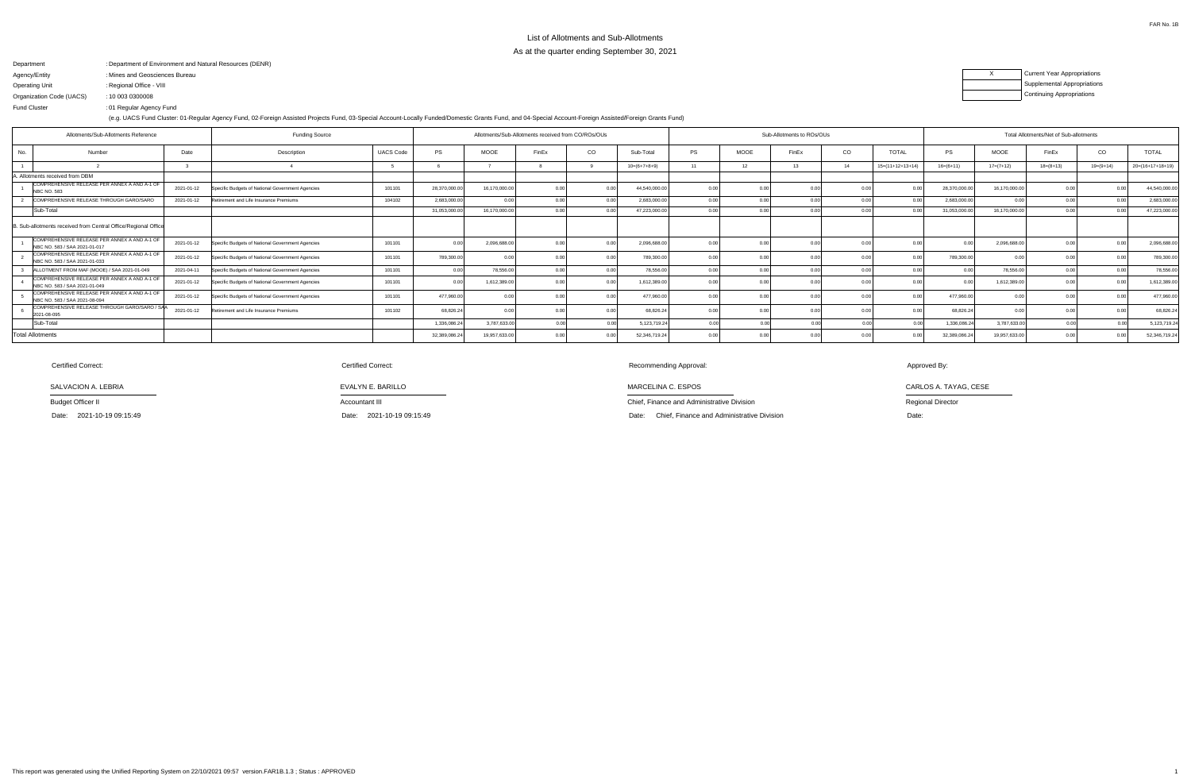Department Agency/EntityOperating UnitOrganization Code (UACS) Fund ClusterDepartment of Environment and Natural Resources (DENR) : : Mines and Geosciences Bureau Regional Office - VIII:10 003 0300008:01 Regular Agency Fund:

(e.g. UACS Fund Cluster: 01-Regular Agency Fund, 02-Foreign Assisted Projects Fund, 03-Special Account-Locally Funded/Domestic Grants Fund, and 04-Special Account-Foreign Assisted/Foreign Grants Fund)

| <b>Current Year Appropriations</b> |
|------------------------------------|
| <b>Supplemental Appropriations</b> |
| <b>Continuing Appropriations</b>   |

Date: 2021-10-19 09:15:49 Accountant III

| Allotments/Sub-Allotments Reference |                                                                               | <b>Funding Source</b> |                                                  | Allotments/Sub-Allotments received from CO/ROs/OUs |               |               |       |      |                | Sub-Allotments to ROs/OUs |                |                  | Total Allotments/Net of Sub-allotments |                    |                |                |             |             |                    |
|-------------------------------------|-------------------------------------------------------------------------------|-----------------------|--------------------------------------------------|----------------------------------------------------|---------------|---------------|-------|------|----------------|---------------------------|----------------|------------------|----------------------------------------|--------------------|----------------|----------------|-------------|-------------|--------------------|
| No.                                 | Number                                                                        | Date                  | Description                                      | <b>UACS Code</b>                                   | <b>PS</b>     | <b>MOOE</b>   | FinEx | CO   | Sub-Total      | <b>PS</b>                 | MOOE           | FinEx            | CO                                     | <b>TOTAL</b>       | PS             | <b>MOOE</b>    | FinEx       | CO          | <b>TOTAL</b>       |
|                                     |                                                                               |                       |                                                  |                                                    |               |               |       |      | $10=(6+7+8+9)$ |                           | 12             | 13 <sup>13</sup> | 14                                     | $15=(11+12+13+14)$ | $16=(6+11)$    | $17=(7+12)$    | $18=(8+13)$ | $19=(9+14)$ | $20=(16+17+18+19)$ |
| . Allotments received from DBM      |                                                                               |                       |                                                  |                                                    |               |               |       |      |                |                           |                |                  |                                        |                    |                |                |             |             |                    |
| NBC NO. 583                         | COMPREHENSIVE RELEASE PER ANNEX A AND A-1 OF                                  | 2021-01-12            | Specific Budgets of National Government Agencies | 101101                                             | 28,370,000.00 | 16,170,000.00 |       |      | 44,540,000.00  | 0.00                      | 0 Q            |                  |                                        |                    | 28,370,000.00  | 16,170,000.00  | 0.00        |             | 44,540,000.00      |
|                                     | COMPREHENSIVE RELEASE THROUGH GARO/SARO                                       | 2021-01-12            | Retirement and Life Insurance Premiums           | 104102                                             | 2.683.000.00  |               |       | 0.00 | 2.683.000.00   | 0.00                      | 0.0            |                  |                                        |                    | 2,683,000.00   | 0 <sub>0</sub> | 0.00        | 0.00        | 2,683,000.00       |
| Sub-Total                           |                                                                               |                       |                                                  |                                                    | 31,053,000.00 | 16,170,000.00 |       |      | 47,223,000.00  | 0.00                      | 0 <sub>0</sub> |                  |                                        |                    | 31,053,000.00  | 16,170,000.00  | 0.00        |             | 47,223,000.00      |
|                                     | Sub-allotments received from Central Office/Regional Office                   |                       |                                                  |                                                    |               |               |       |      |                |                           |                |                  |                                        |                    |                |                |             |             |                    |
|                                     | COMPREHENSIVE RELEASE PER ANNEX A AND A-1 OF<br>NBC NO. 583 / SAA 2021-01-017 | 2021-01-12            | Specific Budgets of National Government Agencies | 101101                                             | 0.00          | 2,096,688.00  |       | 0.00 | 2,096,688.0    | 0.00                      |                |                  |                                        |                    | 0 <sub>0</sub> | 2,096,688.0    | 0.00        | $\cap$      | 2,096,688.00       |
|                                     | COMPREHENSIVE RELEASE PER ANNEX A AND A-1 OF<br>NBC NO. 583 / SAA 2021-01-033 | 2021-01-12            | Specific Budgets of National Government Agencies | 101101                                             | 789,300.00    |               |       | 0.00 | 789,300.0      | 0.00                      |                |                  |                                        |                    | 789,300.00     |                | 0.00        |             | 789,300.00         |
|                                     | ALLOTMENT FROM MAF (MOOE) / SAA 2021-01-049                                   | 2021-04-11            | Specific Budgets of National Government Agencies | 101101                                             | 0.00          | 78,556.00     |       | 0.00 | 78,556.00      | 0.00                      | 0.00           |                  |                                        | 0.00               |                | 78,556.00      | 0.00        | 0.00        | 78,556.00          |
|                                     | COMPREHENSIVE RELEASE PER ANNEX A AND A-1 OF<br>NBC NO. 583 / SAA 2021-01-049 | 2021-01-12            | Specific Budgets of National Government Agencies | 101101                                             | 0.00          | 1,612,389.00  |       | 0.00 | 1,612,389.00   | 0.00                      | 0 <sub>0</sub> |                  | _0.00                                  | 0.00               | 0.00           | 1,612,389.0    | 0.00        | 0.00        | 1,612,389.00       |
|                                     | COMPREHENSIVE RELEASE PER ANNEX A AND A-1 OF<br>NBC NO. 583 / SAA 2021-08-094 | 2021-01-12            | Specific Budgets of National Government Agencies | 101101                                             | 477,960.00    | 0.00          |       | 0.00 | 477,960.00     | 0.00                      | 0.0            |                  | 0.00                                   | 0.00               | 477,960.00     | 0 <sub>0</sub> | 0.00        | n nr        | 477,960.00         |
| 2021-08-095                         | COMPREHENSIVE RELEASE THROUGH GARO/SARO / SAA                                 | 2021-01-12            | Retirement and Life Insurance Premiums           | 101102                                             | 68,826.24     | 0.00          |       | 0.00 | 68,826.24      | 0.00                      | 0.00           |                  |                                        | 0.00               | 68,826.24      | 0.0(           | 0.00        |             | 68,826.24          |
| Sub-Total                           |                                                                               |                       |                                                  |                                                    | 1,336,086.24  | 3,787,633.00  |       | 0.00 | 5,123,719.24   | 0.00                      | 0.00           |                  | 0.00                                   | 0.00               | 1,336,086.24   | 3,787,633.00   | 0.00        | 0.00        | 5,123,719.24       |
| otal Allotments                     |                                                                               |                       |                                                  |                                                    | 32,389,086.24 | 19,957,633.00 |       |      | 52,346,719.24  |                           |                |                  |                                        |                    | 32,389,086.24  | 19,957,633.00  | 0.00        |             | 52,346,719.24      |

SALVACION A. LEBRIA

Budget Officer II

Date: 2021-10-19 09:15:49

Certified Correct:

Chief, Finance and Administrative Division

: 2021-10-19 09:15:49 Date: 2021-10-19 09:15:49 Date: Chief, Finance and Administrative Division Date:

MARCELINA C. ESPOS

Recommending Approval:

Approved By:

CARLOS A. TAYAG, CESE

Regional Director

EVALYN E. BARILLO

Certified Correct: